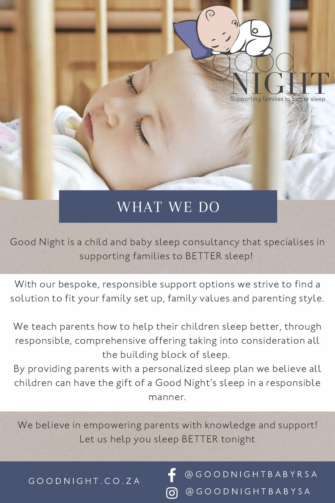Good Night is a child and baby sleep consultancy that specialises in supporting families to BETTER sleep!

With our bespoke, responsible support options we strive to find a solution to fit your family set up, family values and parenting style.

We teach parents how to help their children sleep better, through responsible, comprehensive offering taking into consideration all the building block of sleep.

### We believe in empowering parents with knowledge and support! Let us help you sleep BETTER tonight

#### @ G O O D N I G H T B A B Y R S A @ G O O D N I G H T B A B Y S A $\left[\odot\right]$

By providing parents with a personalized sleep plan we believe all children can have the gift of a Good Night' s sleep in a responsible manner.

#### G O O D N I G H T . C O . Z A



# WHAT WE DO

 $\bigcirc$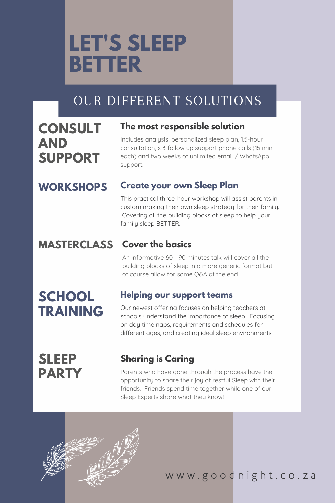

# OUR DIFFERENT SOLUTIONS

## **CONSULT AND SUPPORT**

### **WORKSHOPS**

### **MASTERCLASS**

### **The most responsible solution**

Includes analysis, personalized sleep plan, 1.5-hour consultation, x 3 follow up support phone calls (15 min each) and two weeks of unlimited email / WhatsApp support.

### **Create your own Sleep Plan**

This practical three-hour workshop will assist parents in custom making their own sleep strategy for their family. Covering all the building blocks of sleep to help your family sleep BETTER.

### **Cover the basics**

An informative 60 - 90 minutes talk will cover all the building blocks of sleep in a more generic format but of course allow for some Q&A at the end.

# **SCHOOL TRAINING**

### **Helping our support teams**

Our newest offering focuses on helping teachers at schools understand the importance of sleep. Focusing on day time naps, requirements and schedules for different ages, and creating ideal sleep environments.

## **SLEEP PARTY**

### **Sharing is Caring**

Parents who have gone through the process have the opportunity to share their joy of restful Sleep with their friends. Friends spend time together while one of our Sleep Experts share what they know!

# **LET'S SLEEP BETTER**